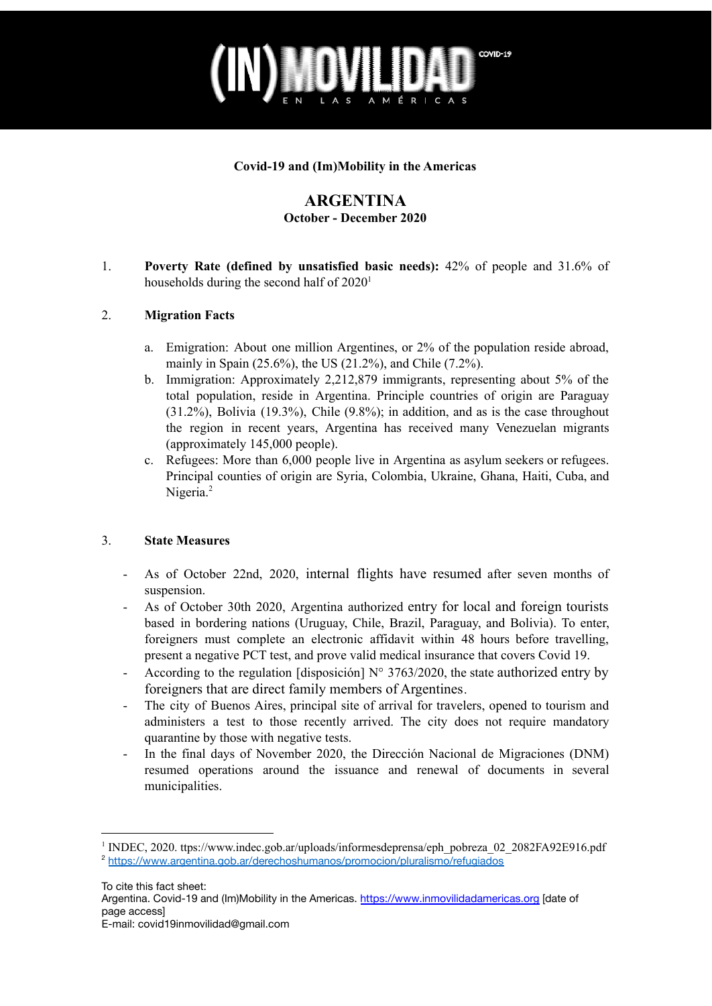

### **Covid-19 and (Im)Mobility in the Americas**

## **ARGENTINA October - December 2020**

1. **Poverty Rate (defined by unsatisfied basic needs):** 42% of people and 31.6% of households during the second half of 2020<sup>1</sup>

#### 2. **Migration Facts**

- a. Emigration: About one million Argentines, or 2% of the population reside abroad, mainly in Spain (25.6%), the US (21.2%), and Chile (7.2%).
- b. Immigration: Approximately 2,212,879 immigrants, representing about 5% of the total population, reside in Argentina. Principle countries of origin are Paraguay (31.2%), Bolivia (19.3%), Chile (9.8%); in addition, and as is the case throughout the region in recent years, Argentina has received many Venezuelan migrants (approximately 145,000 people).
- c. Refugees: More than 6,000 people live in Argentina as asylum seekers or refugees. Principal counties of origin are Syria, Colombia, Ukraine, Ghana, Haiti, Cuba, and Nigeria.<sup>2</sup>

#### 3. **State Measures**

- As of October 22nd, 2020, internal flights have [resumed](https://www.aa.com.tr/es/mundo/los-vuelos-internos-en-argentina-se-reanudan-luego-de-siete-meses-de-suspensi%C3%B3n/2015968) after seven months of suspension.
- As of October 30th 2020, Argentina authorized entry for local and foreign [tourists](https://www.clarin.com/ciudades/coronavirus-paises-limitrofes-dejan-entrar-turistas-argentinos_0_uo3tWYhJI.html) based in bordering nations (Uruguay, Chile, Brazil, Paraguay, and Bolivia). To enter, foreigners must complete an electronic affidavit within 48 hours before travelling, present a negative PCT test, and prove valid medical insurance that covers Covid 19.
- According to the regulation [disposición]  $N^{\circ}$  3763/2020, the state [authorized](https://www.infobae.com/politica/2020/11/30/el-gobierno-autorizo-el-ingreso-al-pais-de-extranjeros-que-sean-familiares-directos-de-ciudadanos-argentinos/) entry by [foreigners that are direct family members of Argentines](https://www.infobae.com/politica/2020/11/30/el-gobierno-autorizo-el-ingreso-al-pais-de-extranjeros-que-sean-familiares-directos-de-ciudadanos-argentinos/).
- The city of Buenos Aires, principal site of arrival for travelers, opened to [tourism](http://www.laizquierdadiario.com/Comienzan-los-testeos-a-turistas-y-residentes-que-lleguen-a-la-Ciudad-de-Buenos-Aires) and administers a test to those recently arrived. The city does not require mandatory quarantine by those with negative tests.
- In the final days of November 2020, the Dirección Nacional de Migraciones (DNM) resumed operations around the issuance and renewal of documents in several municipalities.

<sup>2</sup> <https://www.argentina.gob.ar/derechoshumanos/promocion/pluralismo/refugiados> <sup>1</sup> INDEC, 2020. ttps://www.indec.gob.ar/uploads/informesdeprensa/eph\_pobreza\_02\_2082FA92E916.pdf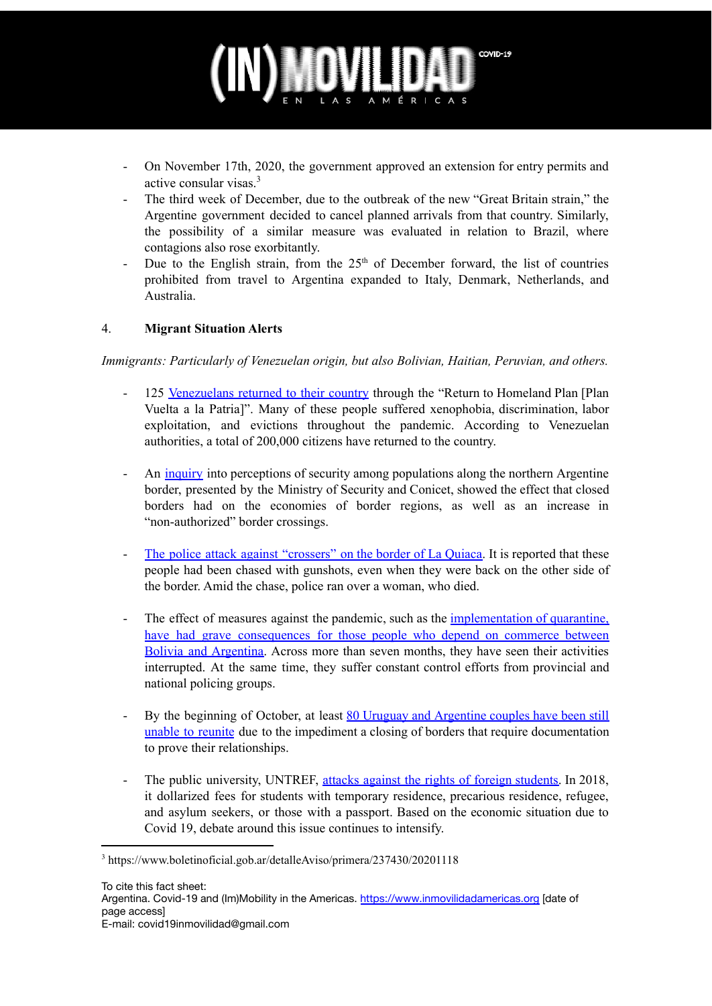# COVID-19

- On November 17th, 2020, the government approved an extension for entry permits and active consular visas. 3
- The third week of December, due to the outbreak of the new "Great Britain strain," the Argentine government decided to cancel [planned](https://www.argentina.gob.ar/noticias/el-gobierno-nacional-suspende-el-ingreso-de-los-vuelos-de-gran-bretana-tras-la-aparicion-1) arrivals from that country. Similarly, the possibility of a similar measure was evaluated in relation to [Brazil](http://www.laizquierdadiario.com/Argentina-analiza-cerrar-la-frontera-con-Brasil-por-el-rebrote-de-covid-19), where contagions also rose exorbitantly.
- Due to the English strain, from the  $25<sup>th</sup>$  of December forward, the list of countries prohibited from travel to Argentina expanded to Italy, Denmark, Netherlands, and Australia.

## 4. **Migrant Situation Alerts**

*Immigrants: Particularly of Venezuelan origin, but also Bolivian, Haitian, Peruvian, and others.*

- 125 [Venezuelans](https://www.perfil.com/noticias/internacional/una-realidad-adversa-obligo-a-125-venezolanos-a-dejar-argentina-y-volver-a-su-pais.phtml) returned to their country through the "Return to Homeland Plan [Plan] Vuelta a la Patria]". Many of these people suffered xenophobia, discrimination, labor exploitation, and evictions throughout the pandemic. According to Venezuelan authorities, a total of 200,000 citizens have returned to the country.
- An [inquiry](https://www.perfil.com/noticias/actualidad/sabina-frederic-frontera-norte-carencias-estructurales-contrabando-y-demonizacion.phtml) into perceptions of security among populations along the northern Argentine border, presented by the Ministry of Security and Conicet, showed the effect that closed borders had on the economies of border regions, as well as an increase in "non-authorized" border crossings.
- The police attack against ["crossers"](http://www.laizquierdadiario.com/Gendarmeria-persigue-atropella-y-mata-a-mujer-en-La-Quiaca) on the border of La Quiaca. It is reported that these people had been chased with gunshots, even when they were back on the other side of the border. Amid the chase, police ran over a woman, who died.
- The effect of measures against the pandemic, such as the [implementation](http://www.laizquierdadiario.com/Gendarmeria-persigue-atropella-y-mata-a-mujer-en-La-Quiaca) of quarantine, have had grave [consequences](http://www.laizquierdadiario.com/Gendarmeria-persigue-atropella-y-mata-a-mujer-en-La-Quiaca) for those people who depend on commerce between Bolivia and [Argentina.](http://www.laizquierdadiario.com/Gendarmeria-persigue-atropella-y-mata-a-mujer-en-La-Quiaca) Across more than seven months, they have seen their activities interrupted. At the same time, they suffer constant control efforts from provincial and national policing groups.
- By the beginning of October, at least 80 Uruguay and [Argentine](https://www.lanacion.com.ar/el-mundo/coronavirus-tengo-mitad-mi-vida-argentina-parejas-nid2467108/) couples have been still unable to [reunite](https://www.lanacion.com.ar/el-mundo/coronavirus-tengo-mitad-mi-vida-argentina-parejas-nid2467108/) due to the impediment a closing of borders that require documentation to prove their relationships.
- The public university, UNTREF, attacks against the rights of foreign [students.](https://elgritodelsur.com.ar/2020/10/escandalo-en-universidad-publica-dolarizacion-aranceles-extranjeros-resolucion-xenofoba.html) In 2018, it dollarized fees for students with temporary residence, precarious residence, refugee, and asylum seekers, or those with a passport. Based on the economic situation due to Covid 19, debate around this issue continues to intensify.

<sup>3</sup> https://www.boletinoficial.gob.ar/detalleAviso/primera/237430/20201118

Argentina. Covid-19 and (Im)Mobility in the Americas. <https://www.inmovilidadamericas.org> [date of page access]

E-mail: covid19inmovilidad@gmail.com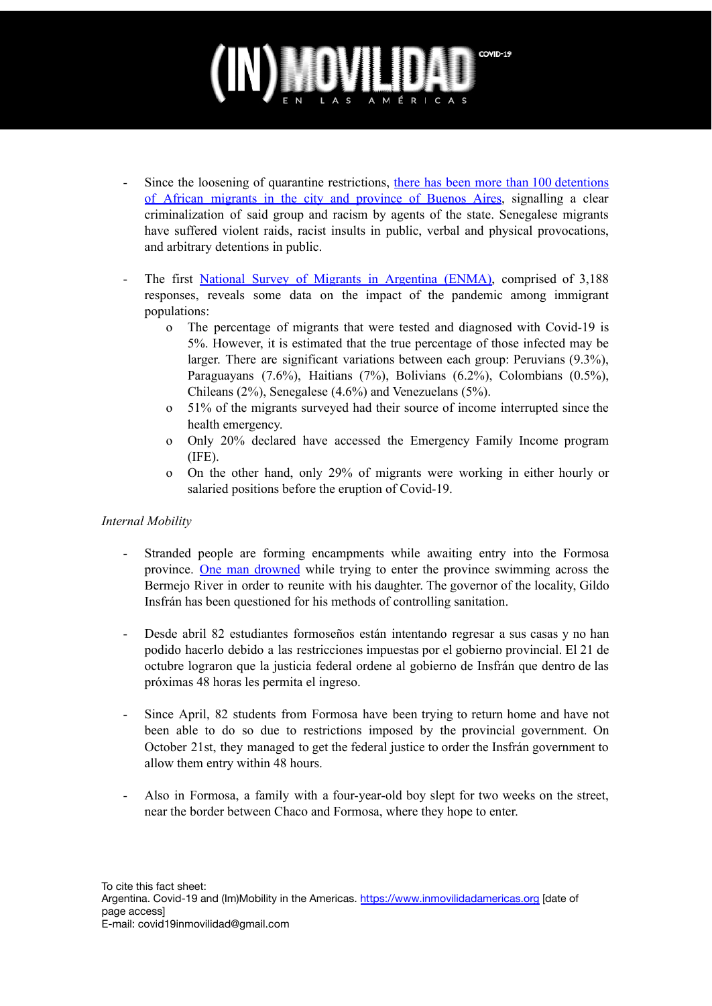# COVID-19

- Since the loosening of quarantine restrictions, there has been more than 100 [detentions](https://elgritodelsur.com.ar/2020/12/confiscacion-dignidad-senegalesa-otro-ano-detenciones-robo-mercaderia.html) of African [migrants](https://elgritodelsur.com.ar/2020/12/confiscacion-dignidad-senegalesa-otro-ano-detenciones-robo-mercaderia.html) in the city and province of Buenos Aires, signalling a clear criminalization of said group and racism by agents of the state. Senegalese migrants have suffered violent raids, racist insults in public, verbal and physical provocations, and arbitrary detentions in public.
- The first National Survey of Migrants in [Argentina](https://elgritodelsur.com.ar/2020/12/la-deuda-es-con-migrantes-gobierno-sigue-sin-derogar-el-decreto-xenofobo-macri.html) (ENMA), comprised of 3,188 responses, reveals some data on the impact of the pandemic among immigrant populations:
	- o The percentage of migrants that were tested and diagnosed with Covid-19 is 5%. However, it is estimated that the true percentage of those infected may be larger. There are significant variations between each group: Peruvians (9.3%), Paraguayans (7.6%), Haitians (7%), Bolivians (6.2%), Colombians (0.5%), Chileans (2%), Senegalese (4.6%) and Venezuelans (5%).
	- o 51% of the migrants surveyed had their source of income interrupted since the health emergency.
	- o Only 20% declared have accessed the Emergency Family Income program (IFE).
	- o On the other hand, only 29% of migrants were working in either hourly or salaried positions before the eruption of Covid-19.

### *Internal Mobility*

- Stranded people are forming encampments while awaiting entry into the Formosa province. One man [drowned](http://www.laizquierdadiario.com/Con-el-apoyo-de-Frederic-Insfran-obliga-a-formosenos-a-acampar-para-entrar-a-la-provincia) while trying to enter the province swimming across the Bermejo River in order to reunite with his daughter. The governor of the locality, Gildo Insfrán has been questioned for his methods of controlling sanitation.
- Desde abril 82 estudiantes formoseños están intentando regresar a sus casas y no han podido hacerlo debido a las restricciones impuestas por el gobierno provincial. El 21 de octubre lograron que la justicia federal ordene al gobierno de Insfrán que dentro de las próximas 48 horas les permita el ingreso.
- Since April, 82 students from Formosa have been trying to return home and have not been able to do so due to restrictions imposed by the provincial government. On October 21st, they managed to get the federal justice to order the Insfrán government to allow them entry within 48 hours.
- Also in Formosa, a family with a four-year-old boy slept for two weeks on the street, near the border between Chaco and Formosa, where they hope to enter.